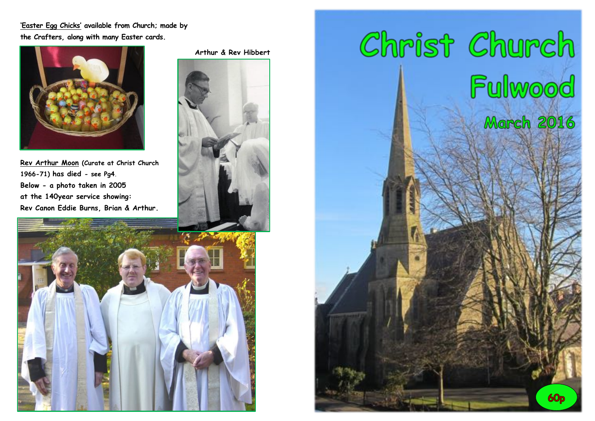**'Easter Egg Chicks' available from Church; made by the Crafters, along with many Easter cards.**



**Rev Arthur Moon (Curate at Christ Church 1966-71) has died - see Pg4. Below - a photo taken in 2005 at the 140year service showing: Rev Canon Eddie Burns, Brian & Arthur.**

 **Arthur & Rev Hibbert**



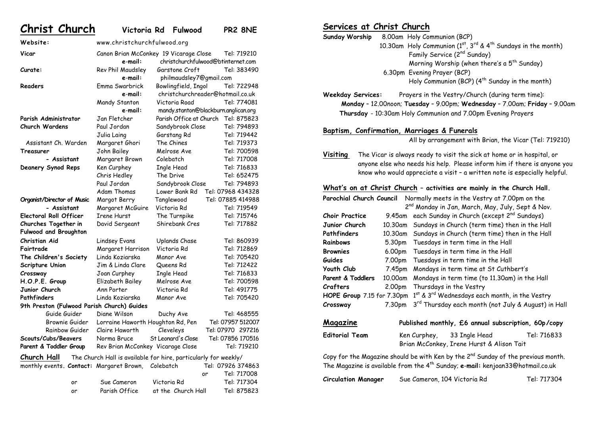#### **Christ Church Victoria Rd Fulwood PR2 8NE Website:** www.christchurchfulwood.org **Vicar** Canon Brian McConkey 19 Vicarage Close Tel: 719210 **e**-**mail:** christchurchfulwood@btinternet.com **Curate:** Rev Phil Maudsley Garstone Croft Tel: 383490 **e**-**mail:** philmaudsley7@gmail.com **Readers** Emma Swarbrick Bowlingfield, Ingol Tel: 722948 **e**-**mail:** christchurchreader@hotmail.co.uk Mandy Stanton Victoria Road Tel: 774081 **e**-**mail:** mandy.stanton@blackburn.anglican.org **Parish Administrator** Jan Fletcher Parish Office at Church Tel: 875823 **Church Wardens** Paul Jordan Sandybrook Close Tel: 794893 Julia Laing Garstang Rd Tel: 719442 Assistant Ch. Warden Margaret Ghori The Chines Tel: 719373 **Treasurer Sohn Bailey Melrose Ave** Tel: 700598 **- Assistant** Margaret Brown Colebatch Tel: 717008 **Deanery Synod Reps** Ken Curphey Ingle Head Tel: 716833 Chris Hedley The Drive Tel: 652475

| - Assistant                                                                        | Margaret McGuire                  | Victoria Rd        | Tel: 719549       |
|------------------------------------------------------------------------------------|-----------------------------------|--------------------|-------------------|
| <b>Electoral Roll Officer</b>                                                      | Irene Hurst                       | The Turnpike       | Tel: 715746       |
| Churches Together in                                                               | David Sergeant                    | Shirebank Cres     | Tel: 717882       |
| <b>Fulwood and Broughton</b>                                                       |                                   |                    |                   |
| Christian Aid                                                                      | Lindsey Evans                     | Uplands Chase      | Tel: 860939       |
| Fairtrade                                                                          | Margaret Harrison                 | Victoria Rd        | Tel: 712869       |
| The Children's Society                                                             | Linda Koziarska                   | Manor Ave          | Tel: 705420       |
| Scripture Union                                                                    | Jim & Linda Clare                 | Queens Rd          | Tel: 712422       |
| Crossway                                                                           | Joan Curphey                      | Ingle Head         | Tel: 716833       |
| H.O.P.E. Group                                                                     | Elizabeth Bailey                  | Melrose Ave        | Tel: 700598       |
| Junior Church                                                                      | Ann Porter                        | Victoria Rd        | Tel: 491775       |
| Pathfinders                                                                        | Linda Koziarska                   | Manor Ave          | Tel: 705420       |
| 9th Preston (Fulwood Parish Church) Guides                                         |                                   |                    |                   |
| Guide Guider                                                                       | Diane Wilson                      | Duchy Ave          | Tel: 468555       |
| Brownie Guider                                                                     | Lorraine Haworth Houghton Rd, Pen |                    | Tel: 07957 512007 |
| Rainbow Guider                                                                     | Claire Haworth                    | Cleveleys          | Tel: 07970 297216 |
| Scouts/Cubs/Beavers                                                                | Norma Bruce                       | St Leonard's Close | Tel: 07856 170516 |
| Parent & Toddler Group                                                             | Rev Brian McConkey Vicarage Close |                    | Tel: 719210       |
| <b>Church Hall</b> The Church Hall is available for hire, particularly for weekly/ |                                   |                    |                   |
| monthly events. Contact: Margaret Brown, Colebatch                                 |                                   |                    | Tel: 07926 374863 |
|                                                                                    |                                   |                    | Tel: 717008<br>or |
| or                                                                                 | Sue Cameron                       | Victoria Rd        | Tel: 717304       |

**Organist/Director of Music** Margot Berry Tanglewood Tel: 07885 414988

or Parish Office at the Church Hall Tel: 875823

Paul Jordan Sandybrook Close Tel: 794893 Adam Thomas Lower Bank Rd Tel: 07968 434328

# **Services at Christ Church**

**Sunday Worship** 8.00am Holy Communion (BCP) 10.30am Holy Communion ( $1^{st}$ ,  $3^{rd}$  &  $4^{th}$  Sundays in the month) Family Service (2nd Sunday) Morning Worship (when there's a  $5<sup>th</sup>$  Sunday) 6.30pm Evening Prayer (BCP) Holy Communion (BCP)  $(4^{th}$  Sunday in the month)

**Weekday Services:** Prayers in the Vestry/Church (during term time): **Monday** – 12.00noon; **Tuesday** – 9.00pm; **Wednesday** – 7.00am; **Friday** – 9.00am  **Thursday** - 10:30am Holy Communion and 7.00pm Evening Prayers

#### **Baptism, Confirmation, Marriages & Funerals**

All by arrangement with Brian, the Vicar (Tel: 719210)

**Visiting** The Vicar is always ready to visit the sick at home or in hospital, or anyone else who needs his help. Please inform him if there is anyone you know who would appreciate a visit – a written note is especially helpful.

#### **What's on at Christ Church – activities are mainly in the Church Hall.**

| Parochial Church Council |                    |                                                                                            | Normally meets in the Vestry at 7.00pm on the                |             |
|--------------------------|--------------------|--------------------------------------------------------------------------------------------|--------------------------------------------------------------|-------------|
|                          |                    |                                                                                            | 2 <sup>nd</sup> Monday in Jan, March, May, July, Sept & Nov. |             |
| <b>Choir Practice</b>    | 9.45am             |                                                                                            | each Sunday in Church (except 2 <sup>nd</sup> Sundays)       |             |
| Junior Church            | 10.30am            |                                                                                            | Sundays in Church (term time) then in the Hall               |             |
| Pathfinders              | 10.30am            |                                                                                            | Sundays in Church (term time) then in the Hall               |             |
| Rainbows                 | 5.30 <sub>pm</sub> |                                                                                            | Tuesdays in term time in the Hall                            |             |
| <b>Brownies</b>          | 6.00pm             |                                                                                            | Tuesdays in term time in the Hall                            |             |
| Guides                   | 7.00pm             |                                                                                            | Tuesdays in term time in the Hall                            |             |
| Youth Club               | 7.45pm             |                                                                                            | Mondays in term time at St Cuthbert's                        |             |
| Parent & Toddlers        | 10.00am            |                                                                                            | Mondays in term time (to 11.30am) in the Hall                |             |
| Crafters                 | 2.00pm             |                                                                                            | Thursdays in the Vestry                                      |             |
|                          |                    | HOPE Group 7.15 for 7.30pm $1^{st}$ & 3 <sup>rd</sup> Wednesdays each month, in the Vestry |                                                              |             |
| Crossway                 | 7.30pm             |                                                                                            | 3rd Thursday each month (not July & August) in Hall          |             |
|                          |                    |                                                                                            |                                                              |             |
| Magazine                 |                    |                                                                                            | Published monthly, £6 annual subscription, 60p/copy          |             |
| <b>Editorial Team</b>    |                    | Ken Curphey,                                                                               | 33 Ingle Head                                                | Tel: 716833 |

Copy for the Magazine should be with Ken by the  $2^{nd}$  Sunday of the previous month. The Magazine is available from the 4th Sunday; **e**-**mail:** kenjoan33@hotmail.co.uk

Brian McConkey, Irene Hurst & Alison Tait

**Circulation Manager** Sue Cameron, 104 Victoria Rd Tel: 717304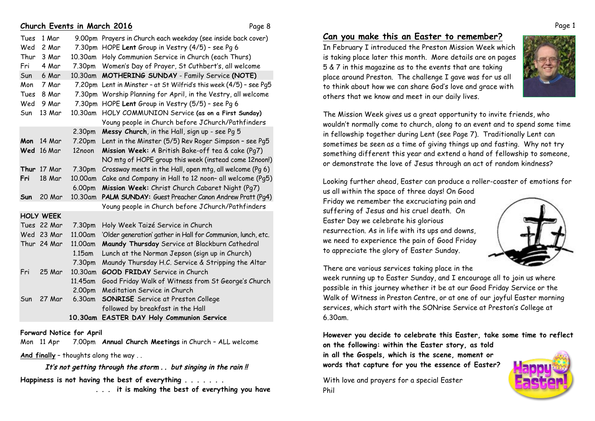## **Church Events in March 2016** Page 8

| Tues | 1 Mar            |                    | 9.00pm Prayers in Church each weekday (see inside back cover) |
|------|------------------|--------------------|---------------------------------------------------------------|
| Wed  | 2 Mar            | 7.30pm             | HOPE Lent Group in Vestry (4/5) - see Pq 6                    |
| Thur | 3 Mar            | 10.30am            | Holy Communion Service in Church (each Thurs)                 |
| Fri  | 4 Mar            | 7.30pm             | Women's Day of Prayer, St Cuthbert's, all welcome             |
| Sun  | 6 Mar            | 10.30am            | MOTHERING SUNDAY - Family Service (NOTE)                      |
| Mon  | 7 Mar            | 7.20pm             | Lent in Minster - at St Wilfrid's this week (4/5) - see Pq5   |
| Tues | 8 Mar            | 7.30pm             | Worship Planning for April, in the Vestry, all welcome        |
| Wed  | 9 Mar            | 7.30pm             | HOPE Lent Group in Vestry (5/5) - see Pq 6                    |
| Sun  | 13 Mar           | 10.30am            | HOLY COMMUNION Service (as on a First Sunday)                 |
|      |                  |                    | Young people in Church before JChurch/Pathfinders             |
|      |                  | 2.30pm             | Messy Church, in the Hall, sign up - see Pg 5                 |
| Mon  | 14 Mar           | 7.20pm             | Lent in the Minster (5/5) Rev Roger Simpson - see Pg5         |
| Wed  | 16 Mar           | 12noon             | Mission Week: A British Bake-off tea & cake (Pq7)             |
|      |                  |                    | NO mtg of HOPE group this week (instead come 12noon!)         |
| Thur | <b>17 Mar</b>    | 7.30pm             | Crossway meets in the Hall, open mtg, all welcome (Pg 6)      |
| Fri  | 18 Mar           | 10.00am            | Cake and Company in Hall to 12 noon- all welcome (Pg5)        |
|      |                  | 6.00pm             | Mission Week: Christ Church Cabaret Night (Pg7)               |
| Sun  | 20 Mar           | 10.30am            | PALM SUNDAY: Guest Preacher Canon Andrew Pratt (Pg4)          |
|      |                  |                    | Young people in Church before JChurch/Pathfinders             |
|      | <b>HOLY WEEK</b> |                    |                                                               |
|      | Tues 22 Mar      | 7.30pm             | Holy Week Taizé Service in Church                             |
|      | Wed 23 Mar       | 11.00am            | 'Older generation' gather in Hall for Communion, lunch, etc.  |
|      | Thur 24 Mar      | 11.00am            | Maundy Thursday Service at Blackburn Cathedral                |
|      |                  | 1.15am             | Lunch at the Norman Jepson (sign up in Church)                |
|      |                  | 7.30pm             | Maundy Thursday H.C. Service & Stripping the Altar            |
| Fri  | 25 Mar           | 10.30am            | <b>GOOD FRIDAY</b> Service in Church                          |
|      |                  | 11.45am            | Good Friday Walk of Witness from St George's Church           |
|      |                  | 2.00pm             | Meditation Service in Church                                  |
|      | $SU$ 27 Mar      | 6.30 <sub>nm</sub> | <b>SONRTSE</b> Service at Preston College                     |

Sun 27 Mar 6.30am **SONRISE** Service at Preston College followed by breakfast in the Hall  **10.30am EASTER DAY Holy Communion Service**

#### **Forward Notice for April**

Mon 11 Apr 7.00pm **Annual Church Meetings** in Church – ALL welcome

**And finally** – thoughts along the way . .

It's not getting through the storm . . but singing in the rain !! **Happiness is not having the best of everything . . . . . . .** 

 **. . . it is making the best of everything you have**

# **Can you make this an Easter to remember?**

In February I introduced the Preston Mission Week which is taking place later this month. More details are on pages 5 & 7 in this magazine as to the events that are taking place around Preston. The challenge I gave was for us all to think about how we can share God's love and grace with others that we know and meet in our daily lives.



The Mission Week gives us a great opportunity to invite friends, who wouldn't normally come to church, along to an event and to spend some time in fellowship together during Lent (see Page 7). Traditionally Lent can sometimes be seen as a time of giving things up and fasting. Why not try something different this year and extend a hand of fellowship to someone, or demonstrate the love of Jesus through an act of random kindness?

Looking further ahead, Easter can produce a roller-coaster of emotions for

us all within the space of three days! On Good Friday we remember the excruciating pain and suffering of Jesus and his cruel death. On Easter Day we celebrate his glorious resurrection. As in life with its ups and downs, we need to experience the pain of Good Friday to appreciate the glory of Easter Sunday.



There are various services taking place in the

week running up to Easter Sunday, and I encourage all to join us where possible in this journey whether it be at our Good Friday Service or the Walk of Witness in Preston Centre, or at one of our joyful Easter morning services, which start with the SONrise Service at Preston's College at 6.30am.

**However you decide to celebrate this Easter, take some time to reflect on the following: within the Easter story, as told** 

**in all the Gospels, which is the scene, moment or words that capture for you the essence of Easter?**

With love and prayers for a special Easter Phil



Page 1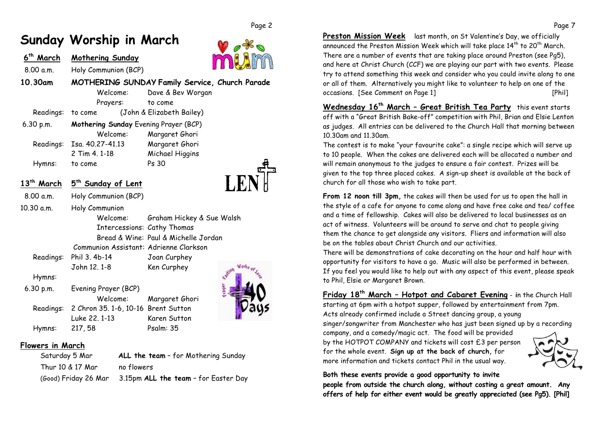# **Sunday Worship in March**

| March     | <b>Mothering Sunday</b>                        |                           |  |
|-----------|------------------------------------------------|---------------------------|--|
| 8.00 a.m. | Holy Communion (BCP)                           |                           |  |
| 10.30am   | MOTHERING SUNDAY Family Service, Church Parade |                           |  |
|           | Welcome:                                       | Dave & Bev Worgan         |  |
|           | Prayers:                                       | to come                   |  |
| Readings: | to come                                        | (John & Elizabeth Bailey) |  |
| 6.30 p.m. | Mothering Sunday Evening Prayer (BCP)          |                           |  |
|           | Welcome:                                       | Margaret Ghori            |  |
| Readings: | Isa. 40.27-41.13                               | Margaret Ghori            |  |
|           | 2 Tim 4, 1-18                                  | Michael Higgins           |  |
| Hymns:    | to come                                        | Ps 30                     |  |
|           |                                                |                           |  |
| March     | 5 <sup>th</sup> Sunday of Lent                 |                           |  |
| 8.00 a.m. | Holy Communion (BCP)                           |                           |  |

10.30 a.m. Holy Communion Welcome: Graham Hickey & Sue Walsh Intercessions: Cathy Thomas

Bread & Wine: Paul & Michelle Jordan

Communion Assistant: Adrienne Clarkson

- 
- Readings: Phil 3. 4b-14 Joan Curphey John 12. 1-8 Ken Curphey

#### Hymns:

 6.30 p.m. Evening Prayer (BCP) Welcome: Margaret Ghori Readings: 2 Chron 35. 1-6, 10-16 Brent Sutton Luke 22. 1-13 Karen Sutton Hymns: 217, 58 Psalm: 35

# **Flowers in March**

| Saturday 5 Mar       | ALL the team - for Mothering Sunday  |
|----------------------|--------------------------------------|
| Thur 10 & 17 Mar     | no flowers                           |
| (Good) Friday 26 Mar | 3.15pm ALL the team - for Easter Day |

**Preston Mission Week** last month, on St Valentine's Day, we officially announced the Preston Mission Week which will take place  $14^{th}$  to  $20^{th}$  March. There are a number of events that are taking place around Preston (see Pg5), and here at Christ Church (CCF) we are playing our part with two events. Please try to attend something this week and consider who you could invite along to one or all of them. Alternatively you might like to volunteer to help on one of the occasions. [See Comment on Page 1] [Phil]

**Wednesday 16th March – Great British Tea Party** this event starts off with a "Great British Bake-off" competition with Phil, Brian and Elsie Lenton as judges. All entries can be delivered to the Church Hall that morning between 10.30am and 11.30am.

The contest is to make "your favourite cake": a single recipe which will serve up to 10 people. When the cakes are delivered each will be allocated a number and will remain anonymous to the judges to ensure a fair contest. Prizes will be given to the top three placed cakes. A sign-up sheet is available at the back of church for all those who wish to take part.

**From 12 noon till 3pm,** the cakes will then be used for us to open the hall in the style of a cafe for anyone to come along and have free cake and tea/ coffee and a time of fellowship. Cakes will also be delivered to local businesses as an act of witness. Volunteers will be around to serve and chat to people giving them the chance to get alongside any visitors. Fliers and information will also be on the tables about Christ Church and our activities.

There will be demonstrations of cake decorating on the hour and half hour with opportunity for visitors to have a go. Music will also be performed in between. If you feel you would like to help out with any aspect of this event, please speak to Phil, Elsie or Margaret Brown.

**Friday 18th March – Hotpot and Cabaret Evening** - **i**n the Church Hall starting at 6pm with a hotpot supper, followed by entertainment from 7pm. Acts already confirmed include a Street dancing group, a young

singer/songwriter from Manchester who has just been signed up by a recording

company, and a comedy/magic act. The food will be provided by the HOTPOT COMPANY and tickets will cost £3 per person for the whole event. **Sign up at the back of church,** for more information and tickets contact Phil in the usual way.



#### **Both these events provide a good opportunity to invite**

**people from outside the church along, without costing a great amount. Any offers of help for either event would be greatly appreciated (see Pg5). [Phil]**



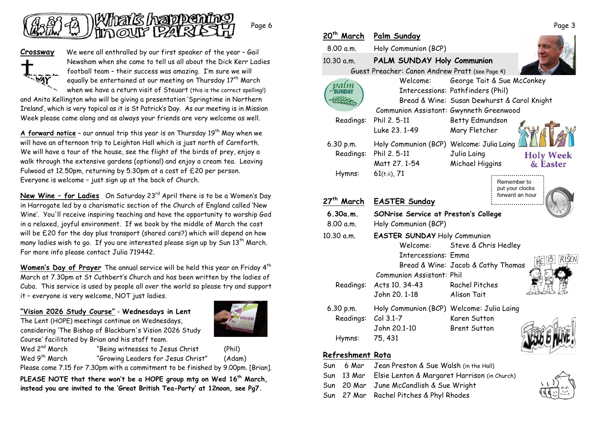

**Crossway** We were all enthralled by our first speaker of the year – Gail Newsham when she came to tell us all about the Dick Kerr Ladies football team – their success was amazing. I'm sure we will equally be entertained at our meeting on Thursday 17<sup>th</sup> March when we have a return visit of Steuart (this is the correct spelling!)

and Anita Kellington who will be giving a presentation 'Springtime in Northern Ireland', which is very topical as it is St Patrick's Day. As our meeting is in Mission Week please come along and as always your friends are very welcome as well.

**A forward notice** - our annual trip this year is on Thursday 19<sup>th</sup> May when we will have an afternoon trip to Leighton Hall which is just north of Carnforth. We will have a tour of the house, see the flight of the birds of prey, enjoy a walk through the extensive gardens (optional) and enjoy a cream tea. Leaving Fulwood at 12.50pm, returning by 5.30pm at a cost of £20 per person. Everyone is welcome – just sign up at the back of Church.

**New Wine - for Ladies** On Saturday 23<sup>rd</sup> April there is to be a Women's Day in Harrogate led by a charismatic section of the Church of England called 'New Wine'. You'll receive inspiring teaching and have the opportunity to worship God in a relaxed, joyful environment. If we book by the middle of March the cost will be £20 for the day plus transport (shared cars?) which will depend on how many ladies wish to go. If you are interested please sign up by Sun  $13<sup>th</sup>$  March. For more info please contact Julia 719442.

Women's Day of Prayer The annual service will be held this year on Friday 4<sup>th</sup> March at 7.30pm at St Cuthbert's Church and has been written by the ladies of Cuba. This service is used by people all over the world so please try and support it – everyone is very welcome, NOT just ladies.

**"Vision 2026 Study Course"** - **Wednesdays in Lent**

The Lent (HOPE) meetings continue on Wednesdays, considering 'The Bishop of Blackburn's Vision 2026 Study Course' facilitated by Brian and his staff team.



Wed 2<sup>nd</sup> March "Being witnesses to Jesus Christ (Phil) Wed 9<sup>th</sup> March "Growing Leaders for Jesus Christ" (Adam)

Please come 7.15 for 7.30pm with a commitment to be finished by 9.00pm. [Brian].

**PLEASE NOTE that there won't be a HOPE group mtg on Wed 16th March, instead you are invited to the 'Great British Tea-Party' at 12noon, see Pg7.**

| 20 <sup>th</sup> March | Palm Sunday                                     |                                                                |
|------------------------|-------------------------------------------------|----------------------------------------------------------------|
| 8.00 a.m.              | Holy Communion (BCP)                            |                                                                |
| 10.30 a.m.             | PALM SUNDAY Holy Communion                      |                                                                |
|                        | Guest Preacher: Canon Andrew Pratt (see Page 4) |                                                                |
|                        | Welcome:                                        | George Tait & Sue McConkey                                     |
|                        |                                                 | Intercessions: Pathfinders (Phil)                              |
|                        |                                                 | Bread & Wine: Susan Dewhurst & Carol Knight                    |
|                        | Communion Assistant: Gwynneth Greenwood         |                                                                |
| Readings:              | Phil 2. 5-11                                    | Betty Edmundson                                                |
|                        | Luke 23, 1-49                                   | Mary Fletcher                                                  |
| 6.30 p.m.              | Holy Communion (BCP) Welcome: Julia Laing       |                                                                |
| Readings:              | Phil 2, 5-11                                    | Julia Laing<br><b>Holy Week</b>                                |
|                        | Matt 27, 1-54                                   | Michael Higgins<br>& Easter                                    |
| Hymns:                 | $61(t.ii)$ , 71                                 |                                                                |
|                        |                                                 | Remember to<br>put your clocks                                 |
| 27 <sup>th</sup> March | <b>EASTER Sunday</b>                            | forward an hour                                                |
| 6.30a.m.               | SONrise Service at Preston's College            |                                                                |
| 8.00 a.m.              | Holy Communion (BCP)                            |                                                                |
|                        |                                                 |                                                                |
| 10.30 a.m.             | <b>EASTER SUNDAY Holy Communion</b><br>Welcome: | Steve & Chris Hedley                                           |
|                        | Intercessions: Emma                             |                                                                |
|                        |                                                 | <b>RISEN</b><br>ĨŜ<br>HE<br>Bread & Wine: Jacob & Cathy Thomas |
|                        | Communion Assistant: Phil                       |                                                                |
| Readings:              | Acts 10, 34-43                                  | <b>Rachel Pitches</b>                                          |
|                        |                                                 |                                                                |
|                        | John 20, 1-18                                   | Alison Tait                                                    |
|                        |                                                 |                                                                |
| 6.30 p.m.              | Holy Communion (BCP) Welcome: Julia Laing       |                                                                |
| Readings:              | $Col 3.1-7$<br>John 20.1-10                     | Karen Sutton<br><b>Brent Sutton</b>                            |
| Hymns:                 | 75, 431                                         |                                                                |

### **Refreshment Rota**

|  | Sun 6 Mar Jean Preston & Sue Walsh (in the Hall)        |
|--|---------------------------------------------------------|
|  | Sun 13 Mar Elsie Lenton & Margaret Harrison (in Church) |
|  | Sun 20 Mar June McCandlish & Sue Wright                 |
|  | Sun 27 Mar Rachel Pitches & Phyl Rhodes                 |
|  |                                                         |

Page 3